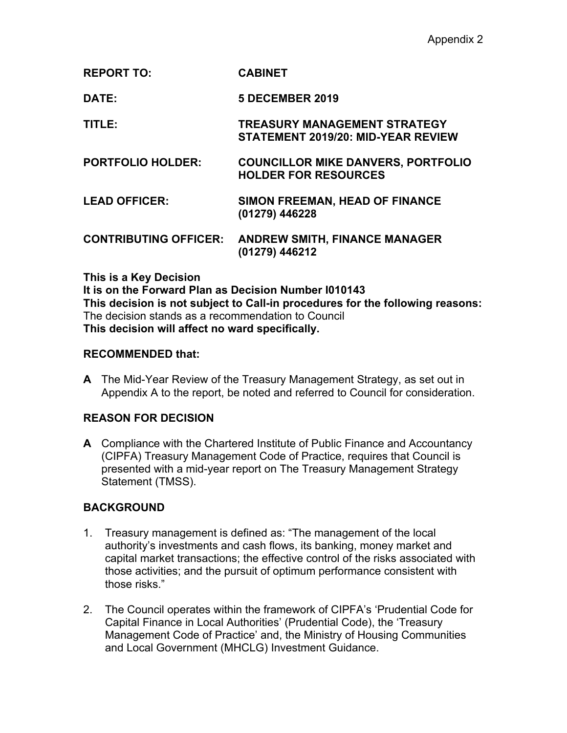**REPORT TO: CABINET**

**DATE: 5 DECEMBER 2019**

**TITLE: TREASURY MANAGEMENT STRATEGY STATEMENT 2019/20: MID-YEAR REVIEW**

- **PORTFOLIO HOLDER: COUNCILLOR MIKE DANVERS, PORTFOLIO HOLDER FOR RESOURCES**
- **LEAD OFFICER: SIMON FREEMAN, HEAD OF FINANCE (01279) 446228**

**CONTRIBUTING OFFICER: ANDREW SMITH, FINANCE MANAGER (01279) 446212**

## **This is a Key Decision**

**It is on the Forward Plan as Decision Number I010143 This decision is not subject to Call-in procedures for the following reasons:** The decision stands as a recommendation to Council **This decision will affect no ward specifically.**

## **RECOMMENDED that:**

**A** The Mid-Year Review of the Treasury Management Strategy, as set out in Appendix A to the report, be noted and referred to Council for consideration.

# **REASON FOR DECISION**

**A** Compliance with the Chartered Institute of Public Finance and Accountancy (CIPFA) Treasury Management Code of Practice, requires that Council is presented with a mid-year report on The Treasury Management Strategy Statement (TMSS).

# **BACKGROUND**

- 1. Treasury management is defined as: "The management of the local authority's investments and cash flows, its banking, money market and capital market transactions; the effective control of the risks associated with those activities; and the pursuit of optimum performance consistent with those risks."
- 2. The Council operates within the framework of CIPFA's 'Prudential Code for Capital Finance in Local Authorities' (Prudential Code), the 'Treasury Management Code of Practice' and, the Ministry of Housing Communities and Local Government (MHCLG) Investment Guidance.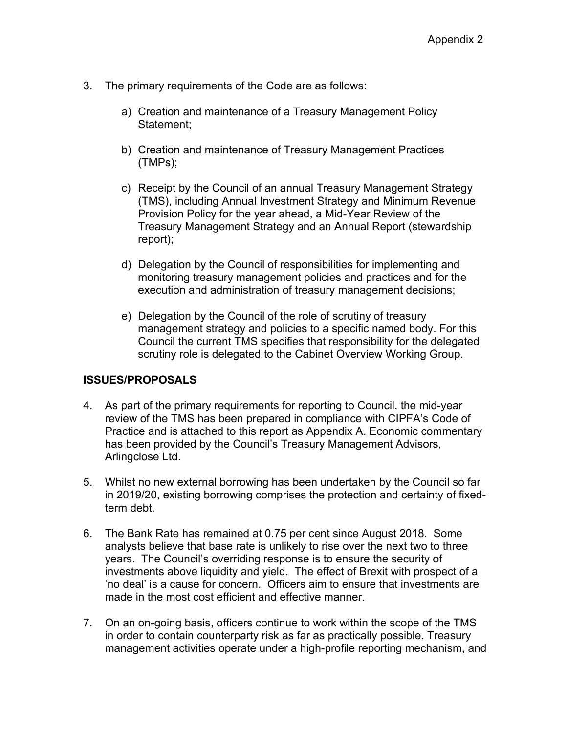- 3. The primary requirements of the Code are as follows:
	- a) Creation and maintenance of a Treasury Management Policy Statement;
	- b) Creation and maintenance of Treasury Management Practices (TMPs);
	- c) Receipt by the Council of an annual Treasury Management Strategy (TMS), including Annual Investment Strategy and Minimum Revenue Provision Policy for the year ahead, a Mid-Year Review of the Treasury Management Strategy and an Annual Report (stewardship report);
	- d) Delegation by the Council of responsibilities for implementing and monitoring treasury management policies and practices and for the execution and administration of treasury management decisions;
	- e) Delegation by the Council of the role of scrutiny of treasury management strategy and policies to a specific named body. For this Council the current TMS specifies that responsibility for the delegated scrutiny role is delegated to the Cabinet Overview Working Group.

# **ISSUES/PROPOSALS**

- 4. As part of the primary requirements for reporting to Council, the mid-year review of the TMS has been prepared in compliance with CIPFA's Code of Practice and is attached to this report as Appendix A. Economic commentary has been provided by the Council's Treasury Management Advisors, Arlingclose Ltd.
- 5. Whilst no new external borrowing has been undertaken by the Council so far in 2019/20, existing borrowing comprises the protection and certainty of fixedterm debt.
- 6. The Bank Rate has remained at 0.75 per cent since August 2018. Some analysts believe that base rate is unlikely to rise over the next two to three years. The Council's overriding response is to ensure the security of investments above liquidity and yield. The effect of Brexit with prospect of a 'no deal' is a cause for concern. Officers aim to ensure that investments are made in the most cost efficient and effective manner.
- 7. On an on-going basis, officers continue to work within the scope of the TMS in order to contain counterparty risk as far as practically possible. Treasury management activities operate under a high-profile reporting mechanism, and